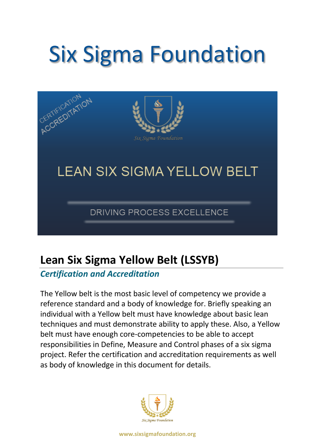# Six Sigma Foundation



# **Lean Six Sigma Yellow Belt (LSSYB)**

### *Certification and Accreditation*

The Yellow belt is the most basic level of competency we provide a reference standard and a body of knowledge for. Briefly speaking an individual with a Yellow belt must have knowledge about basic lean techniques and must demonstrate ability to apply these. Also, a Yellow belt must have enough core-competencies to be able to accept responsibilities in Define, Measure and Control phases of a six sigma project. Refer the certification and accreditation requirements as well as body of knowledge in this document for details.

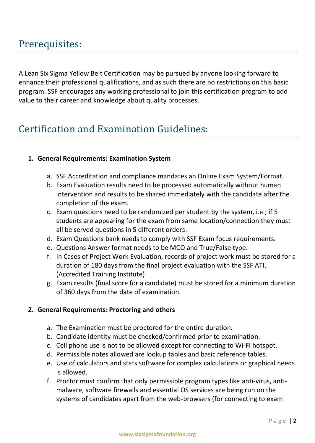## Prerequisites:

A Lean Six Sigma Yellow Belt Certification may be pursued by anyone looking forward to enhance their professional qualifications, and as such there are no restrictions on this basic program. SSF encourages any working professional to join this certification program to add value to their career and knowledge about quality processes.

## Certification and Examination Guidelines:

#### **1. General Requirements: Examination System**

- a. SSF Accreditation and compliance mandates an Online Exam System/Format.
- b. Exam Evaluation results need to be processed automatically without human intervention and results to be shared immediately with the candidate after the completion of the exam.
- c. Exam questions need to be randomized per student by the system, i.e.; if 5 students are appearing for the exam from same location/connection they must all be served questions in 5 different orders.
- d. Exam Questions bank needs to comply with SSF Exam focus requirements.
- e. Questions Answer format needs to be MCQ and True/False type.
- f. In Cases of Project Work Evaluation, records of project work must be stored for a duration of 180 days from the final project evaluation with the SSF ATI. (Accredited Training Institute)
- g. Exam results (final score for a candidate) must be stored for a minimum duration of 360 days from the date of examination.

#### **2. General Requirements: Proctoring and others**

- a. The Examination must be proctored for the entire duration.
- b. Candidate identity must be checked/confirmed prior to examination.
- c. Cell phone use is not to be allowed except for connecting to Wi-Fi hotspot.
- d. Permissible notes allowed are lookup tables and basic reference tables.
- e. Use of calculators and stats software for complex calculations or graphical needs is allowed.
- f. Proctor must confirm that only permissible program types like anti-virus, antimalware, software firewalls and essential OS services are being run on the systems of candidates apart from the web-browsers (for connecting to exam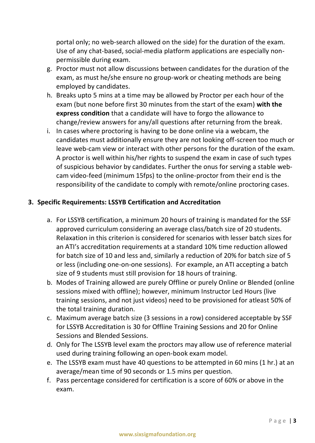portal only; no web-search allowed on the side) for the duration of the exam. Use of any chat-based, social-media platform applications are especially nonpermissible during exam.

- g. Proctor must not allow discussions between candidates for the duration of the exam, as must he/she ensure no group-work or cheating methods are being employed by candidates.
- h. Breaks upto 5 mins at a time may be allowed by Proctor per each hour of the exam (but none before first 30 minutes from the start of the exam) **with the express condition** that a candidate will have to forgo the allowance to change/review answers for any/all questions after returning from the break.
- i. In cases where proctoring is having to be done online via a webcam, the candidates must additionally ensure they are not looking off-screen too much or leave web-cam view or interact with other persons for the duration of the exam. A proctor is well within his/her rights to suspend the exam in case of such types of suspicious behavior by candidates. Further the onus for serving a stable webcam video-feed (minimum 15fps) to the online-proctor from their end is the responsibility of the candidate to comply with remote/online proctoring cases.

#### **3. Specific Requirements: LSSYB Certification and Accreditation**

- a. For LSSYB certification, a minimum 20 hours of training is mandated for the SSF approved curriculum considering an average class/batch size of 20 students. Relaxation in this criterion is considered for scenarios with lesser batch sizes for an ATI's accreditation requirements at a standard 10% time reduction allowed for batch size of 10 and less and, similarly a reduction of 20% for batch size of 5 or less (including one-on-one sessions). For example, an ATI accepting a batch size of 9 students must still provision for 18 hours of training.
- b. Modes of Training allowed are purely Offline or purely Online or Blended (online sessions mixed with offline); however, minimum Instructor Led Hours (live training sessions, and not just videos) need to be provisioned for atleast 50% of the total training duration.
- c. Maximum average batch size (3 sessions in a row) considered acceptable by SSF for LSSYB Accreditation is 30 for Offline Training Sessions and 20 for Online Sessions and Blended Sessions.
- d. Only for The LSSYB level exam the proctors may allow use of reference material used during training following an open-book exam model.
- e. The LSSYB exam must have 40 questions to be attempted in 60 mins (1 hr.) at an average/mean time of 90 seconds or 1.5 mins per question.
- f. Pass percentage considered for certification is a score of 60% or above in the exam.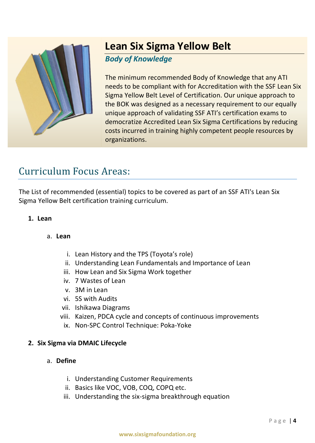

## **Lean Six Sigma Yellow Belt**

#### *Body of Knowledge*

The minimum recommended Body of Knowledge that any ATI needs to be compliant with for Accreditation with the SSF Lean Six Sigma Yellow Belt Level of Certification. Our unique approach to the BOK was designed as a necessary requirement to our equally unique approach of validating SSF ATI's certification exams to democratize Accredited Lean Six Sigma Certifications by reducing costs incurred in training highly competent people resources by organizations.

## Curriculum Focus Areas:

The List of recommended (essential) topics to be covered as part of an SSF ATI's Lean Six Sigma Yellow Belt certification training curriculum.

#### **1. Lean**

#### a. **Lean**

- i. Lean History and the TPS (Toyota's role)
- ii. Understanding Lean Fundamentals and Importance of Lean
- iii. How Lean and Six Sigma Work together
- iv. 7 Wastes of Lean
- v. 3M in Lean
- vi. 5S with Audits
- vii. Ishikawa Diagrams
- viii. Kaizen, PDCA cycle and concepts of continuous improvements
	- ix. Non-SPC Control Technique: Poka-Yoke

#### **2. Six Sigma via DMAIC Lifecycle**

#### a. **Define**

- i. Understanding Customer Requirements
- ii. Basics like VOC, VOB, COQ, COPQ etc.
- iii. Understanding the six-sigma breakthrough equation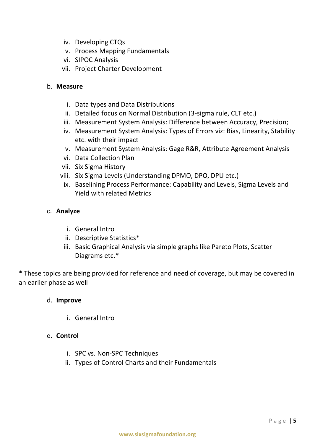- iv. Developing CTQs
- v. Process Mapping Fundamentals
- vi. SIPOC Analysis
- vii. Project Charter Development

#### b. **Measure**

- i. Data types and Data Distributions
- ii. Detailed focus on Normal Distribution (3-sigma rule, CLT etc.)
- iii. Measurement System Analysis: Difference between Accuracy, Precision;
- iv. Measurement System Analysis: Types of Errors viz: Bias, Linearity, Stability etc. with their impact
- v. Measurement System Analysis: Gage R&R, Attribute Agreement Analysis
- vi. Data Collection Plan
- vii. Six Sigma History
- viii. Six Sigma Levels (Understanding DPMO, DPO, DPU etc.)
	- ix. Baselining Process Performance: Capability and Levels, Sigma Levels and Yield with related Metrics

#### c. **Analyze**

- i. General Intro
- ii. Descriptive Statistics\*
- iii. Basic Graphical Analysis via simple graphs like Pareto Plots, Scatter Diagrams etc.\*

\* These topics are being provided for reference and need of coverage, but may be covered in an earlier phase as well

#### d. **Improve**

i. General Intro

#### e. **Control**

- i. SPC vs. Non-SPC Techniques
- ii. Types of Control Charts and their Fundamentals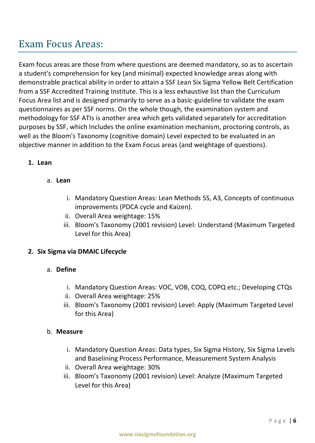## Exam Focus Areas:

Exam focus areas are those from where questions are deemed mandatory, so as to ascertain a student's comprehension for key (and minimal) expected knowledge areas along with demonstrable practical ability in order to attain a SSF Lean Six Sigma Yellow Belt Certification from a SSF Accredited Training Institute. This is a less exhaustive list than the Curriculum Focus Area list and is designed primarily to serve as a basic-guideline to validate the exam questionnaires as per SSF norms. On the whole though, the examination system and methodology for SSF ATIs is another area which gets validated separately for accreditation purposes by SSF, which Includes the online examination mechanism, proctoring controls, as well as the Bloom's Taxonomy (cognitive domain) Level expected to be evaluated in an objective manner in addition to the Exam Focus areas (and weightage of questions).

#### **1. Lean**

#### a. **Lean**

- i. Mandatory Question Areas: Lean Methods 5S, A3, Concepts of continuous improvements (PDCA cycle and Kaizen).
- ii. Overall Area weightage: 15%
- iii. Bloom's Taxonomy (2001 revision) Level: Understand (Maximum Targeted Level for this Area)

#### **2. Six Sigma via DMAIC Lifecycle**

#### a. **Define**

- i. Mandatory Question Areas: VOC, VOB, COQ, COPQ etc.; Developing CTQs
- ii. Overall Area weightage: 25%
- iii. Bloom's Taxonomy (2001 revision) Level: Apply (Maximum Targeted Level for this Area)

#### b. **Measure**

- i. Mandatory Question Areas: Data types, Six Sigma History, Six Sigma Levels and Baselining Process Performance, Measurement System Analysis
- ii. Overall Area weightage: 30%
- iii. Bloom's Taxonomy (2001 revision) Level: Analyze (Maximum Targeted Level for this Area)